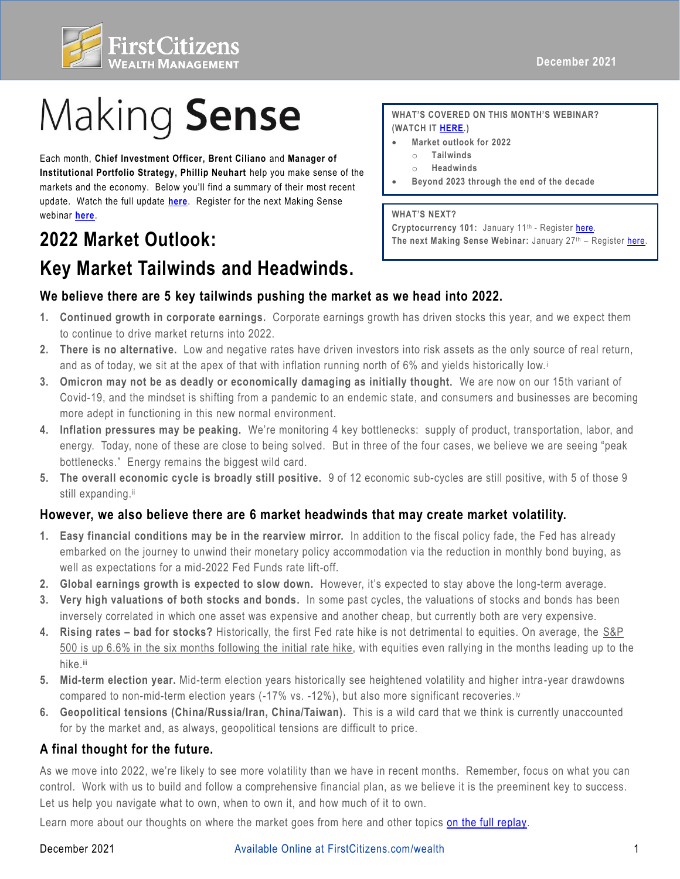

# Making Sense

 update. Watch the full update **[here](https://fast.wistia.net/embed/channel/3szt6oi0ia?wchannelid=3szt6oi0ia&wvideoid=ll1lixp4dj)**. Register for the next Making Sense Each month, **Chief Investment Officer, Brent Ciliano** and **Manager of Institutional Portfolio Strategy, Phillip Neuhart** help you make sense of the markets and the economy. Below you'll find a summary of their most recent webinar **[here](https://firstcitizens.webex.com/firstcitizens/onstage/g.php?MTID=ec32f553f2c2d8ed23e9a92d95c13c6a5)**.

# **2022 Market Outlook: Key Market Tailwinds and Headwinds.**

 **WHAT'S COVERED ON THIS MONTH'S WEBINAR? (WATCH IT [HERE.](https://fast.wistia.net/embed/channel/3szt6oi0ia?wchannelid=3szt6oi0ia&wvideoid=ll1lixp4dj))** 

- **Market outlook for 2022** 
	- o **Tailwinds**
	- o **Headwinds**
- **Beyond 2023 through the end of the decade**

#### **WHAT'S NEXT?**

Cryptocurrency 101: January 11<sup>th</sup> - Register here. **The next Making Sense Webinar:** January 27th – Register [here.](https://firstcitizens.webex.com/firstcitizens/onstage/g.php?MTID=ec32f553f2c2d8ed23e9a92d95c13c6a5)

## **We believe there are 5 key tailwinds pushing the market as we head into 2022.**

- **1. Continued growth in corporate earnings.** Corporate earnings growth has driven stocks this year, and we expect them to continue to drive market returns into 2022.
- **2. There is no alternative.** Low and negative rates have driven investors into risk assets as the only source of real return, and as of today, we sit at the apex of that with inflation running north of 6% and yields historically low.i
- **3. Omicron may not be as deadly or economically damaging as initially thought.** We are now on our 15th variant of Covid-19, and the mindset is shifting from a pandemic to an endemic state, and consumers and businesses are becoming more adept in functioning in this new normal environment.
- **4. Inflation pressures may be peaking.** We're monitoring 4 key bottlenecks: supply of product, transportation, labor, and energy. Today, none of these are close to being solved. But in three of the four cases, we believe we are seeing "peak bottlenecks." Energy remains the biggest wild card.
- **5. The overall economic cycle is broadly still positive.** 9 of 12 economic sub-cycles are still positive, with 5 of those 9 still expanding.ii

### **However, we also believe there are 6 market headwinds that may create market volatility.**

- **1. Easy financial conditions may be in the rearview mirror.** In addition to the fiscal policy fade, the Fed has already embarked on the journey to unwind their monetary policy accommodation via the reduction in monthly bond buying, as well as expectations for a mid-2022 Fed Funds rate lift-off.
- **2. Global earnings growth is expected to slow down.** However, it's expected to stay above the long-term average.
- **3. Very high valuations of both stocks and bonds.** In some past cycles, the valuations of stocks and bonds has been inversely correlated in which one asset was expensive and another cheap, but currently both are very expensive.
- **4. Rising rates – bad for stocks?** Historically, the first Fed rate hike is not detrimental to equities. On average, the S&P 500 is up 6.6% in the six months following the initial rate hike, with equities even rallying in the months leading up to the hike.iii
- **5. Mid-term election year.** Mid-term election years historically see heightened volatility and higher intra-year drawdowns compared to non-mid-term election years (-17% vs. -12%), but also more significant recoveries.iv
- **6. Geopolitical tensions (China/Russia/Iran, China/Taiwan).** This is a wild card that we think is currently unaccounted for by the market and, as always, geopolitical tensions are difficult to price.

### **A final thought for the future.**

 As we move into 2022, we're likely to see more volatility than we have in recent months. Remember, focus on what you can control. Work with us to build and follow a comprehensive financial plan, as we believe it is the preeminent key to success. Let us help you navigate what to own, when to own it, and how much of it to own.

Learn more about our thoughts on where the market goes from here and other topics [on the full replay.](https://fast.wistia.net/embed/channel/3szt6oi0ia?wchannelid=3szt6oi0ia&wvideoid=ll1lixp4dj)

#### Available Online at [FirstCitizens.com/wealth](https://FirstCitizens.com/wealth) 1